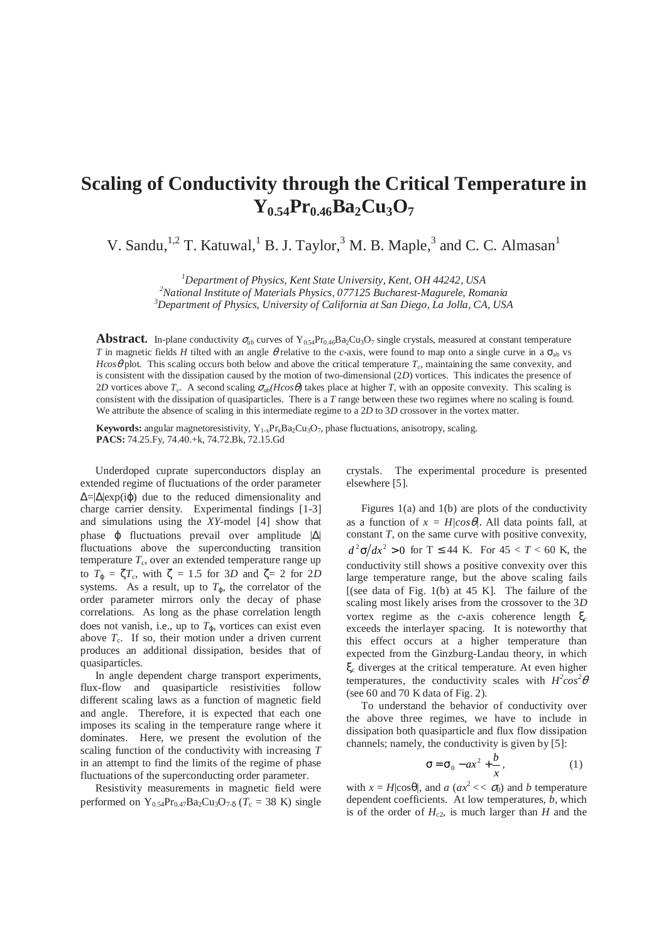## **Scaling of Conductivity through the Critical Temperature in Y0.54Pr0.46Ba2Cu3O<sup>7</sup>**

V. Sandu,  $^{1,2}$  T. Katuwal,  $^{1}$  B. J. Taylor,  $^{3}$  M. B. Maple,  $^{3}$  and C. C. Almasan $^{1}$ 

*<sup>1</sup>Department of Physics, Kent State University, Kent, OH 44242, USA <sup>2</sup>National Institute of Materials Physics, 077125 Bucharest-Magurele, Romania <sup>3</sup>Department of Physics, University of California at San Diego, La Jolla, CA, USA* 

**Abstract.** In-plane conductivity  $\sigma_{ab}$  curves of Y<sub>0.54</sub>Pr<sub>0.46</sub>Ba<sub>2</sub>Cu<sub>3</sub>O<sub>7</sub> single crystals, measured at constant temperature *T* in magnetic fields *H* tilted with an angle *θ* relative to the *c*-axis, were found to map onto a single curve in a σ<sub>ab</sub> vs *Hcos* $\theta$  plot. This scaling occurs both below and above the critical temperature  $T_c$ , maintaining the same convexity, and is consistent with the dissipation caused by the motion of two-dimensional (2*D*) vortices. This indicates the presence of 2*D* vortices above  $T_c$ . A second scaling  $\sigma_{ab}(H\cos\theta)$  takes place at higher *T*, with an opposite convexity. This scaling is consistent with the dissipation of quasiparticles. There is a *T* range between these two regimes where no scaling is found. We attribute the absence of scaling in this intermediate regime to a 2*D* to 3*D* crossover in the vortex matter.

**Keywords:** angular magnetoresistivity,  $Y_{1-x}Pr_xBa_2Cu_3O_7$ , phase fluctuations, anisotropy, scaling. **PACS:** 74.25.Fy, 74.40.+k, 74.72.Bk, 72.15.Gd

Underdoped cuprate superconductors display an extended regime of fluctuations of the order parameter  $\Delta = |\Delta| \exp(i\phi)$  due to the reduced dimensionality and charge carrier density. Experimental findings [1-3] and simulations using the *XY*-model [4] show that phase ϕ fluctuations prevail over amplitude |∆| fluctuations above the superconducting transition temperature  $T_c$ , over an extended temperature range up to  $T_{\varphi} = \zeta T_c$ , with  $\zeta = 1.5$  for 3*D* and  $\zeta = 2$  for 2*D* systems. As a result, up to  $T_{\varphi}$ , the correlator of the order parameter mirrors only the decay of phase correlations. As long as the phase correlation length does not vanish, i.e., up to  $T<sub>Φ</sub>$ , vortices can exist even above  $T_c$ . If so, their motion under a driven current produces an additional dissipation, besides that of quasiparticles.

In angle dependent charge transport experiments, flux-flow and quasiparticle resistivities follow different scaling laws as a function of magnetic field and angle. Therefore, it is expected that each one imposes its scaling in the temperature range where it dominates. Here, we present the evolution of the scaling function of the conductivity with increasing *T* in an attempt to find the limits of the regime of phase fluctuations of the superconducting order parameter.

Resistivity measurements in magnetic field were performed on Y<sub>0.54</sub>Pr<sub>0.47</sub>Ba<sub>2</sub>Cu<sub>3</sub>O<sub>7-δ</sub> ( $T_c$  = 38 K) single crystals. The experimental procedure is presented elsewhere [5].

Figures 1(a) and 1(b) are plots of the conductivity as a function of  $x = H/cos\theta$ . All data points fall, at constant *T*, on the same curve with positive convexity,  $d^2\sigma/dx^2 > 0$  for T  $\leq$  44 K. For 45  $<$  T  $<$  60 K, the conductivity still shows a positive convexity over this large temperature range, but the above scaling fails [(see data of Fig. 1(b) at  $45$  K]. The failure of the scaling most likely arises from the crossover to the 3*D* vortex regime as the *c*-axis coherence length ξ<sub>c</sub> exceeds the interlayer spacing. It is noteworthy that this effect occurs at a higher temperature than expected from the Ginzburg-Landau theory, in which ξc diverges at the critical temperature. At even higher temperatures, the conductivity scales with  $H^2 \cos^2 \theta$ (see 60 and 70 K data of Fig. 2).

To understand the behavior of conductivity over the above three regimes, we have to include in dissipation both quasiparticle and flux flow dissipation channels; namely, the conductivity is given by [5]:

$$
\sigma = \sigma_0 - ax^2 + \frac{b}{x},\tag{1}
$$

with  $x = H|\cos\theta|$ , and  $a$  ( $ax^2 \lt \sigma_0$ ) and *b* temperature dependent coefficients. At low temperatures, *b*, which is of the order of  $H_{c2}$ , is much larger than *H* and the